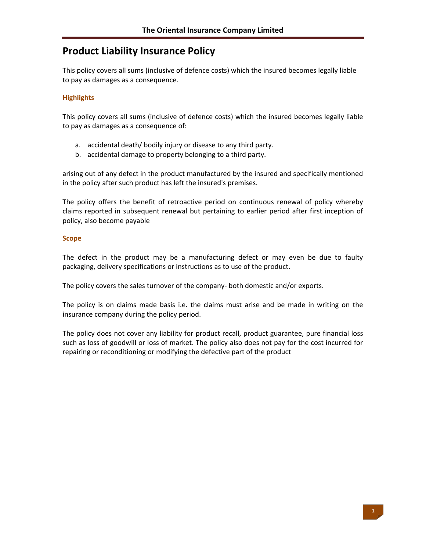# **Product Liability Insurance Policy**

This policy covers all sums (inclusive of defence costs) which the insured becomes legally liable to pay as damages as a consequence.

## **Highlights**

This policy covers all sums (inclusive of defence costs) which the insured becomes legally liable to pay as damages as a consequence of:

- a. accidental death/ bodily injury or disease to any third party.
- b. accidental damage to property belonging to a third party.

arising out of any defect in the product manufactured by the insured and specifically mentioned in the policy after such product has left the insured's premises.

The policy offers the benefit of retroactive period on continuous renewal of policy whereby claims reported in subsequent renewal but pertaining to earlier period after first inception of policy, also become payable

## **Scope**

The defect in the product may be a manufacturing defect or may even be due to faulty packaging, delivery specifications or instructions as to use of the product.

The policy covers the sales turnover of the company‐ both domestic and/or exports.

The policy is on claims made basis i.e. the claims must arise and be made in writing on the insurance company during the policy period.

The policy does not cover any liability for product recall, product guarantee, pure financial loss such as loss of goodwill or loss of market. The policy also does not pay for the cost incurred for repairing or reconditioning or modifying the defective part of the product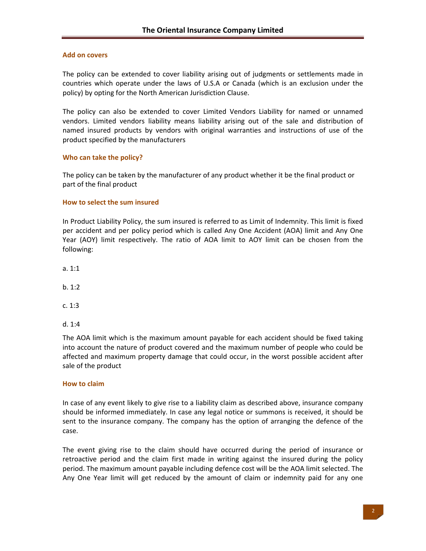#### **Add on covers**

The policy can be extended to cover liability arising out of judgments or settlements made in countries which operate under the laws of U.S.A or Canada (which is an exclusion under the policy) by opting for the North American Jurisdiction Clause.

The policy can also be extended to cover Limited Vendors Liability for named or unnamed vendors. Limited vendors liability means liability arising out of the sale and distribution of named insured products by vendors with original warranties and instructions of use of the product specified by the manufacturers

### **Who can take the policy?**

The policy can be taken by the manufacturer of any product whether it be the final product or part of the final product

#### **How to select the sum insured**

In Product Liability Policy, the sum insured is referred to as Limit of Indemnity. This limit is fixed per accident and per policy period which is called Any One Accident (AOA) limit and Any One Year (AOY) limit respectively. The ratio of AOA limit to AOY limit can be chosen from the following:

a. 1:1

b. 1:2

c. 1:3

d. 1:4

The AOA limit which is the maximum amount payable for each accident should be fixed taking into account the nature of product covered and the maximum number of people who could be affected and maximum property damage that could occur, in the worst possible accident after sale of the product

#### **How to claim**

In case of any event likely to give rise to a liability claim as described above, insurance company should be informed immediately. In case any legal notice or summons is received, it should be sent to the insurance company. The company has the option of arranging the defence of the case.

The event giving rise to the claim should have occurred during the period of insurance or retroactive period and the claim first made in writing against the insured during the policy period. The maximum amount payable including defence cost will be the AOA limit selected. The Any One Year limit will get reduced by the amount of claim or indemnity paid for any one